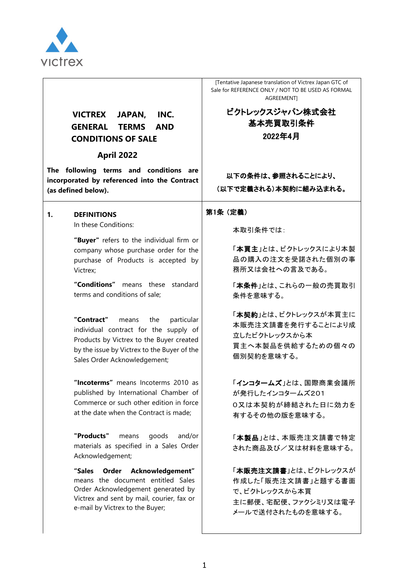

# **VICTREX JAPAN, INC. GENERAL TERMS AND CONDITIONS OF SALE**

# **April 2022**

**The following terms and conditions are incorporated by referenced into the Contract (as defined below).**

#### **1. DEFINITIONS**

In these Conditions:

**"Buyer"** refers to the individual firm or company whose purchase order for the purchase of Products is accepted by Victrex;

**"Conditions"** means these standard terms and conditions of sale;

**"Contract"** means the particular individual contract for the supply of Products by Victrex to the Buyer created by the issue by Victrex to the Buyer of the Sales Order Acknowledgement;

**"Incoterms"** means Incoterms 2010 as published by International Chamber of Commerce or such other edition in force at the date when the Contract is made;

**"Products"** means goods and/or materials as specified in a Sales Order Acknowledgement;

**"Sales Order Acknowledgement"**  means the document entitled Sales Order Acknowledgement generated by Victrex and sent by mail, courier, fax or e-mail by Victrex to the Buyer;

[Tentative Japanese translation of Victrex Japan GTC of Sale for REFERENCE ONLY / NOT TO BE USED AS FORMAL AGREEMENT]

> ビクトレックスジャパン株式会社 基本売買取引条件 2022年4月

# 以下の条件は、参照されることにより、 (以下で定義される)本契約に組み込まれる。

#### 第1条 (定義)

本取引条件では:

「本買主」とは、ビクトレックスにより本製 品の購入の注文を受諾された個別の事 務所又は会社への言及である。

「本条件」とは、これらの一般の売買取引 条件を意味する。

「本契約」とは、ビクトレックスが本買主に 本販売注文請書を発行することにより成 立したビクトレックスから本 買主へ本製品を供給するための個々の 個別契約を意味する。

「インコタームズ」とは、国際商業会議所 が発行したインコタームズ201 0又は本契約が締結された日に効力を 有するその他の版を意味する。

「本製品」とは、本販売注文請書で特定 された商品及び/又は材料を意味する。

「本販売注文請書」とは、ビクトレックスが 作成した「販売注文請書」と題する書面 で、ビクトレックスから本買 主に郵便、宅配便、ファクシミリ又は電子 メールで送付されたものを意味する。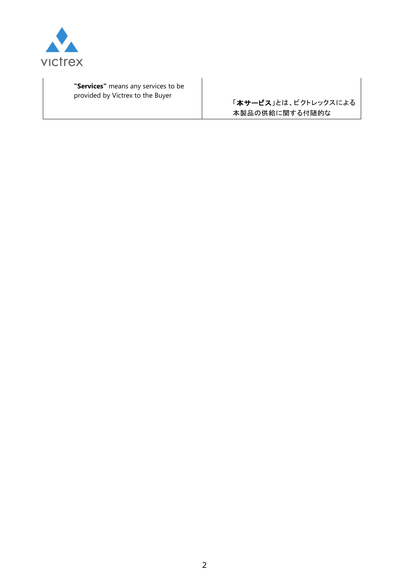

**"Services"** means any services to be provided by Victrex to the Buyer

「本サービス」とは、ビクトレックスによる 本製品の供給に関する付随的な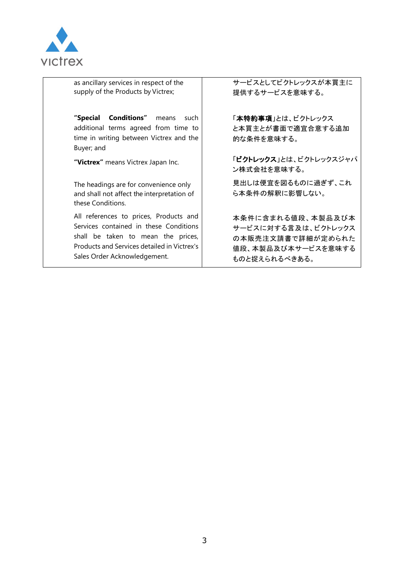

as ancillary services in respect of the supply of the Products by Victrex;

**"Special Conditions"** means such additional terms agreed from time to time in writing between Victrex and the Buyer; and

The headings are for convenience only and shall not affect the interpretation of these Conditions.

All references to prices, Products and Services contained in these Conditions shall be taken to mean the prices, Products and Services detailed in Victrex's Sales Order Acknowledgement.

サービスとしてビクトレックスが本買主に 提供するサービスを意味する。

「本特約事項」とは、ビクトレックス と本買主とが書面で適宜合意する追加 的な条件を意味する。

**"Victrex"** means Victrex Japan Inc. 「ビクトレックス」とは、ビクトレックスジャパ ン株式会社を意味する。

> 見出しは便宜を図るものに過ぎず、これ ら本条件の解釈に影響しない。

本条件に含まれる値段、本製品及び本 サービスに対する言及は、ビクトレックス の本販売注文請書で詳細が定められた 値段、本製品及び本サービスを意味する ものと捉えられるべきある。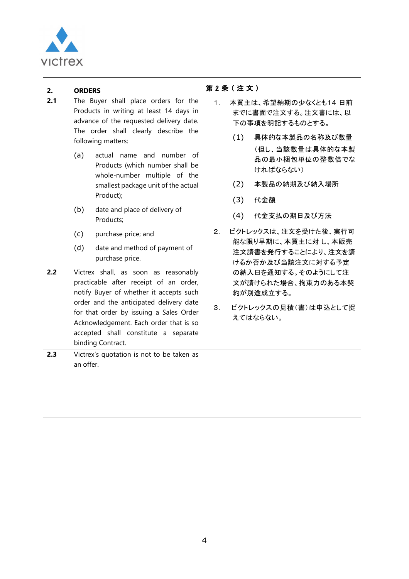

#### **2. ORDERS**

- **2.1** The Buyer shall place orders for the Products in writing at least 14 days in advance of the requested delivery date. The order shall clearly describe the following matters:
	- (a) actual name and number of Products (which number shall be whole-number multiple of the smallest package unit of the actual Product);
	- (b) date and place of delivery of Products;
	- (c) purchase price; and
	- (d) date and method of payment of purchase price.

**2.2** Victrex shall, as soon as reasonably practicable after receipt of an order, notify Buyer of whether it accepts such order and the anticipated delivery date for that order by issuing a Sales Order Acknowledgement. Each order that is so accepted shall constitute a separate binding Contract.

**2.3** Victrex's quotation is not to be taken as an offer.

#### 第 2 条 ( 注 文 )

- 1. 本買主は、希望納期の少なくとも14 日前 までに書面で注文する。注文書には、以 下の事項を明記するものとする。
	- (1) 具体的な本製品の名称及び数量 (但し、当該数量は具体的な本製 品の最小梱包単位の整数倍でな ければならない)
	- (2) 本製品の納期及び納入場所
	- (3) 代金額
	- (4) 代金支払の期日及び方法
- 2. ビクトレックスは、注文を受けた後、実行可 能な限り早期に、本買主に対 し、本販売 注文請書を発行することにより、注文を請 けるか否か及び当該注文に対する予定 の納入日を通知する。そのようにして注 文が請けられた場合、拘束力のある本契 約が別途成立する。
- 3. ビクトレックスの見積(書)は申込として捉 えてはならない。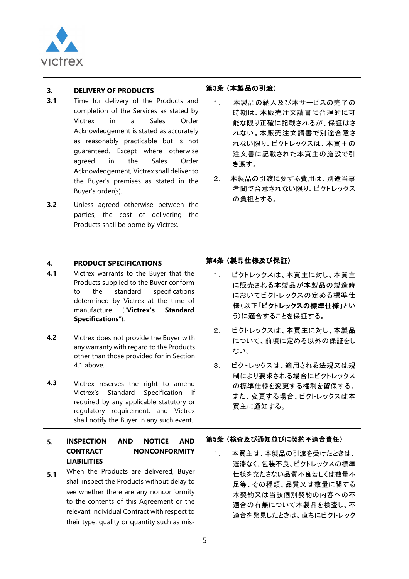

<span id="page-4-0"></span>

| 3.<br>3.1<br>3.2        | <b>DELIVERY OF PRODUCTS</b><br>Time for delivery of the Products and<br>completion of the Services as stated by<br>Victrex<br>in<br><b>Sales</b><br>Order<br>a<br>Acknowledgement is stated as accurately<br>as reasonably practicable but is not<br>guaranteed. Except where otherwise<br>Sales<br>the<br>agreed<br>in<br>Order<br>Acknowledgement, Victrex shall deliver to<br>the Buyer's premises as stated in the<br>Buyer's order(s).<br>Unless agreed otherwise between the<br>parties, the cost of delivering<br>the<br>Products shall be borne by Victrex.                                                                            | 第3条 (本製品の引渡)<br>本製品の納入及び本サービスの完了の<br>1 <sub>1</sub><br>時期は、本販売注文請書に合理的に可<br>能な限り正確に記載されるが、保証はさ<br>れない。本販売注文請書で別途合意さ<br>れない限り、ビクトレックスは、本買主の<br>注文書に記載された本買主の施設で引<br>き渡す。<br>本製品の引渡に要する費用は、別途当事<br>$2_{-}$<br>者間で合意されない限り、ビクトレックス<br>の負担とする。                                                                           |
|-------------------------|------------------------------------------------------------------------------------------------------------------------------------------------------------------------------------------------------------------------------------------------------------------------------------------------------------------------------------------------------------------------------------------------------------------------------------------------------------------------------------------------------------------------------------------------------------------------------------------------------------------------------------------------|----------------------------------------------------------------------------------------------------------------------------------------------------------------------------------------------------------------------------------------------------------------------------------------------------------------------|
| 4.<br>4.1<br>4.2<br>4.3 | <b>PRODUCT SPECIFICATIONS</b><br>Victrex warrants to the Buyer that the<br>Products supplied to the Buyer conform<br>the<br>standard<br>specifications<br>to<br>determined by Victrex at the time of<br>manufacture ("Victrex's<br><b>Standard</b><br>Specifications").<br>Victrex does not provide the Buyer with<br>any warranty with regard to the Products<br>other than those provided for in Section<br>4.1 above.<br>Victrex reserves the right to amend<br>Standard<br>Specification<br>Victrex's<br>if<br>required by any applicable statutory or<br>regulatory requirement, and Victrex<br>shall notify the Buyer in any such event. | 第4条 (製品仕様及び保証)<br>ビクトレックスは、本買主に対し、本買主<br>1 <sup>1</sup><br>に販売される本製品が本製品の製造時<br>においてビクトレックスの定める標準仕<br>様(以下「ビクトレックスの標準仕様」とい<br>う)に適合することを保証する。<br>ビクトレックスは、本買主に対し、本製品<br>2.<br>について、前項に定める以外の保証をし<br>ない。<br>ビクトレックスは、適用される法規又は規<br>3.<br>制により要求される場合にビクトレックス<br>の標準仕様を変更する権利を留保する。<br>また、変更する場合、ビクトレックスは本<br>買主に通知する。 |
| 5.<br>5.1               | <b>NOTICE</b><br><b>INSPECTION</b><br><b>AND</b><br><b>AND</b><br><b>CONTRACT</b><br><b>NONCONFORMITY</b><br><b>LIABILITIES</b><br>When the Products are delivered, Buyer<br>shall inspect the Products without delay to<br>see whether there are any nonconformity<br>to the contents of this Agreement or the<br>relevant Individual Contract with respect to<br>their type, quality or quantity such as mis-                                                                                                                                                                                                                                | 第5条 (検査及び通知並びに契約不適合責任)<br>本買主は、本製品の引渡を受けたときは、<br>1 <sub>1</sub><br>遅滞なく、包装不良、ビクトレックスの標準<br>仕様を充たさない品質不良若しくは数量不<br>足等、その種類、品質又は数量に関する<br>本契約又は当該個別契約の内容への不<br>適合の有無について本製品を検査し、不<br>適合を発見したときは、直ちにビクトレック                                                                                                              |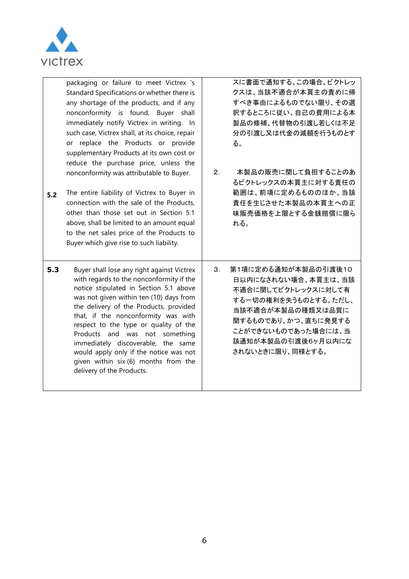

| 5.2 | packaging or failure to meet Victrex 's<br>Standard Specifications or whether there is<br>any shortage of the products, and if any<br>nonconformity is found, Buyer shall<br>immediately notify Victrex in writing. In<br>such case, Victrex shall, at its choice, repair<br>or replace the Products or provide<br>supplementary Products at its own cost or<br>reduce the purchase price, unless the<br>nonconformity was attributable to Buyer.<br>The entire liability of Victrex to Buyer in<br>connection with the sale of the Products,<br>other than those set out in Section 5.1<br>above, shall be limited to an amount equal<br>to the net sales price of the Products to<br>Buyer which give rise to such liability. | 2.             | スに書面で通知する。この場合、ビクトレッ<br>クスは、当該不適合が本買主の責めに帰<br>すべき事由によるものでない限り、その選<br>択するところに従い、自己の費用による本<br>製品の修補、代替物の引渡し若しくは不足<br>分の引渡し又は代金の減額を行うものとす<br>る。<br>本製品の販売に関して負担することのあ<br>るビクトレックスの本買主に対する責任の<br>範囲は、前項に定めるもののほか、当該<br>責任を生じさせた本製品の本買主への正<br>味販売価格を上限とする金銭賠償に限ら<br>れる。 |
|-----|---------------------------------------------------------------------------------------------------------------------------------------------------------------------------------------------------------------------------------------------------------------------------------------------------------------------------------------------------------------------------------------------------------------------------------------------------------------------------------------------------------------------------------------------------------------------------------------------------------------------------------------------------------------------------------------------------------------------------------|----------------|--------------------------------------------------------------------------------------------------------------------------------------------------------------------------------------------------------------------------------------------------------------------|
| 5.3 | Buyer shall lose any right against Victrex<br>with regards to the nonconformity if the<br>notice stipulated in Section 5.1 above<br>was not given within ten (10) days from<br>the delivery of the Products, provided<br>that, if the nonconformity was with<br>respect to the type or quality of the<br>Products and was not something<br>immediately discoverable, the same<br>would apply only if the notice was not<br>given within six (6) months from the<br>delivery of the Products.                                                                                                                                                                                                                                    | 3 <sub>1</sub> | 第1項に定める通知が本製品の引渡後10<br>日以内になされない場合、本買主は、当該<br>不適合に関してビクトレックスに対して有<br>する一切の権利を失うものとする。ただし、<br>当該不適合が本製品の種類又は品質に<br>関するものであり、かつ、直ちに発見する<br>ことができないものであった場合には、当<br>該通知が本製品の引渡後6ヶ月以内にな<br>されないときに限り、同様とする。                                                             |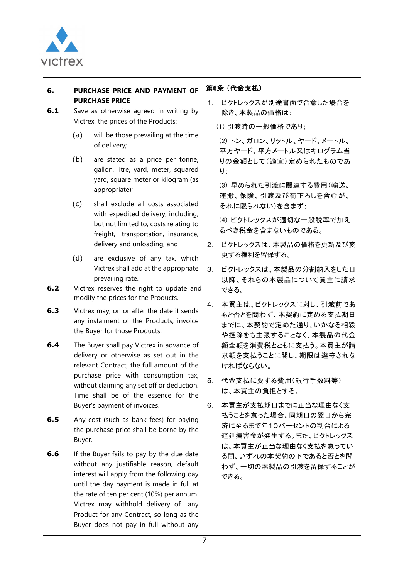

#### **6. PURCHASE PRICE AND PAYMENT OF PURCHASE PRICE**

- **6.1** Save as otherwise agreed in writing by Victrex, the prices of the Products:
	- (a) will be those prevailing at the time of delivery;
	- (b) are stated as a price per tonne, gallon, litre, yard, meter, squared yard, square meter or kilogram (as appropriate);
	- (c) shall exclude all costs associated with expedited delivery, including, but not limited to, costs relating to freight, transportation, insurance, delivery and unloading; and
	- (d) are exclusive of any tax, which Victrex shall add at the appropriate prevailing rate.
- **6.2** Victrex reserves the right to update and modify the prices for the Products.
- **6.3** Victrex may, on or after the date it sends any instalment of the Products, invoice the Buyer for those Products.
- **6.4** The Buyer shall pay Victrex in advance of delivery or otherwise as set out in the relevant Contract, the full amount of the purchase price with consumption tax, without claiming any set off or deduction. Time shall be of the essence for the Buyer's payment of invoices.
- **6.5** Any cost (such as bank fees) for paying the purchase price shall be borne by the Buyer.
- **6.6** If the Buyer fails to pay by the due date without any justifiable reason, default interest will apply from the following day until the day payment is made in full at the rate of ten per cent (10%) per annum. Victrex may withhold delivery of any Product for any Contract, so long as the Buyer does not pay in full without any

# 第6条 (代金支払)

1. ビクトレックスが別途書面で合意した場合を 除き、本製品の価格は:

(1) 引渡時の一般価格であり;

(2) トン、ガロン、リットル、ヤード、メートル、 平方ヤード、平方メートル又はキログラム当 りの金額として(適宜)定められたものであ り;

(3) 早められた引渡に関連する費用(輸送、 運搬、保険、引渡及び荷下ろしを含むが、 それに限られない)を含まず;

(4) ビクトレックスが適切な一般税率で加え るべき税金を含まないものである。

- 2. ビクトレックスは、本製品の価格を更新及び変 更する権利を留保する。
- 3. ビクトレックスは、本製品の分割納入をした日 以降、それらの本製品について買主に請求 できる。
- 4. 本買主は、ビクトレックスに対し、引渡前であ ると否とを問わず、本契約に定める支払期日 までに、本契約で定めた通り、いかなる相殺 や控除をも主張することなく、本製品の代金 額全額を消費税とともに支払う。本買主が請 求額を支払うことに関し、期限は遵守されな ければならない。
- 5. 代金支払に要する費用(銀行手数料等) は、本買主の負担とする。
- 6. 本買主が支払期日までに正当な理由なく支 払うことを怠った場合、同期日の翌日から完 済に至るまで年10パーセントの割合による 遅延損害金が発生する。また、ビクトレックス は、本買主が正当な理由なく支払を怠ってい る間、いずれの本契約の下であると否とを問 わず、一切の本製品の引渡を留保することが できる。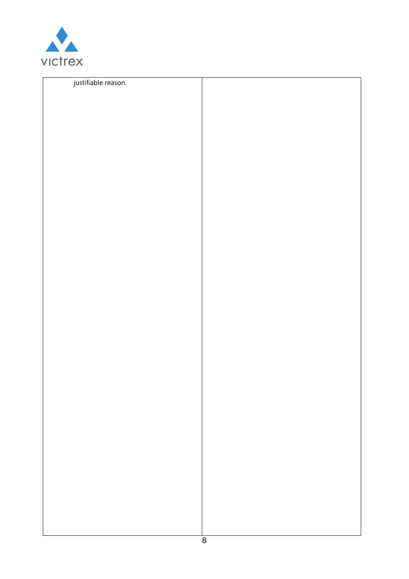

| justifiable reason. |  |  |
|---------------------|--|--|
|                     |  |  |
|                     |  |  |
|                     |  |  |
|                     |  |  |
|                     |  |  |
|                     |  |  |
|                     |  |  |
|                     |  |  |
|                     |  |  |
|                     |  |  |
|                     |  |  |
|                     |  |  |
|                     |  |  |
|                     |  |  |
|                     |  |  |
|                     |  |  |
|                     |  |  |
|                     |  |  |
|                     |  |  |
|                     |  |  |
|                     |  |  |
|                     |  |  |
|                     |  |  |
|                     |  |  |
|                     |  |  |
|                     |  |  |
|                     |  |  |
|                     |  |  |
|                     |  |  |
|                     |  |  |
|                     |  |  |
|                     |  |  |
|                     |  |  |
|                     |  |  |
|                     |  |  |
|                     |  |  |
|                     |  |  |
|                     |  |  |
|                     |  |  |
|                     |  |  |
|                     |  |  |
|                     |  |  |
|                     |  |  |
|                     |  |  |
|                     |  |  |
|                     |  |  |
|                     |  |  |
|                     |  |  |
|                     |  |  |
|                     |  |  |
|                     |  |  |
|                     |  |  |
|                     |  |  |
|                     |  |  |
|                     |  |  |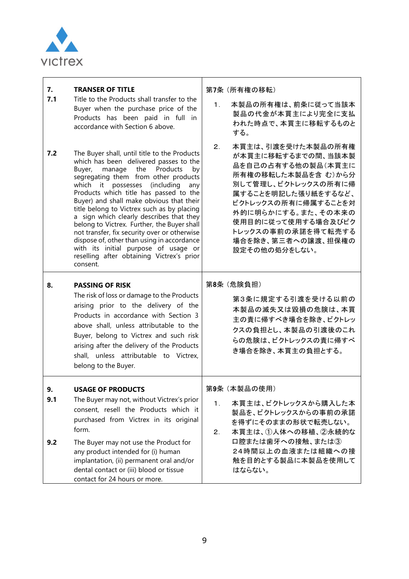

| 7.<br>7.1<br>7.2 | <b>TRANSER OF TITLE</b><br>Title to the Products shall transfer to the<br>Buyer when the purchase price of the<br>Products has been paid in full in<br>accordance with Section 6 above.<br>The Buyer shall, until title to the Products<br>which has been delivered passes to the<br>Products<br>Buyer,<br>manage<br>the<br>by<br>segregating them from other products<br>which it<br>possesses<br>(including<br>any<br>Products which title has passed to the<br>Buyer) and shall make obvious that their<br>title belong to Victrex such as by placing<br>a sign which clearly describes that they<br>belong to Victrex. Further, the Buyer shall<br>not transfer, fix security over or otherwise<br>dispose of, other than using in accordance<br>with its initial purpose of usage or<br>reselling after obtaining Victrex's prior<br>consent. | 第7条 (所有権の移転)<br>本製品の所有権は、前条に従って当該本<br>1.<br>製品の代金が本買主により完全に支払<br>われた時点で、本買主に移転するものと<br>する。<br>本買主は、引渡を受けた本製品の所有権<br>2.<br>が本買主に移転するまでの間、当該本製<br>品を自己の占有する他の製品(本買主に<br>所有権の移転した本製品を含む)から分<br>別して管理し、ビクトレックスの所有に帰<br>属することを明記した張り紙をするなど、<br>ビクトレックスの所有に帰属することを対<br>外的に明らかにする。また、その本来の<br>使用目的に従って使用する場合及びビク<br>トレックスの事前の承諾を得て転売する<br>場合を除き、第三者への譲渡、担保権の<br>設定その他の処分をしない。 |
|------------------|----------------------------------------------------------------------------------------------------------------------------------------------------------------------------------------------------------------------------------------------------------------------------------------------------------------------------------------------------------------------------------------------------------------------------------------------------------------------------------------------------------------------------------------------------------------------------------------------------------------------------------------------------------------------------------------------------------------------------------------------------------------------------------------------------------------------------------------------------|------------------------------------------------------------------------------------------------------------------------------------------------------------------------------------------------------------------------------------------------------------------------------------------------------------------------------------------------------------------------|
| 8.               | <b>PASSING OF RISK</b><br>The risk of loss or damage to the Products<br>arising prior to the delivery of the<br>Products in accordance with Section 3<br>above shall, unless attributable to the<br>Buyer, belong to Victrex and such risk<br>arising after the delivery of the Products<br>shall, unless attributable to Victrex,<br>belong to the Buyer.                                                                                                                                                                                                                                                                                                                                                                                                                                                                                         | 第8条 (危険負担)<br>第3条に規定する引渡を受ける以前の<br>本製品の滅失又は毀損の危険は、本買<br>主の責に帰すべき場合を除き、ビクトレッ<br>クスの負担とし、本製品の引渡後のこれ<br>らの危険は、ビクトレックスの責に帰すべ<br>き場合を除き、本買主の負担とする。                                                                                                                                                                                                                          |
| 9.<br>9.1<br>9.2 | <b>USAGE OF PRODUCTS</b><br>The Buyer may not, without Victrex's prior<br>consent, resell the Products which it<br>purchased from Victrex in its original<br>form.<br>The Buyer may not use the Product for<br>any product intended for (i) human<br>implantation, (ii) permanent oral and/or<br>dental contact or (iii) blood or tissue<br>contact for 24 hours or more.                                                                                                                                                                                                                                                                                                                                                                                                                                                                          | 第9条 (本製品の使用)<br>本買主は、ビクトレックスから購入した本<br>1.<br>製品を、ビクトレックスからの事前の承諾<br>を得ずにそのままの形状で転売しない。<br>本買主は、1人体への移植、2永続的な<br>2.<br>口腔または歯牙への接触、または③<br>24時間以上の血液または組織への接<br>触を目的とする製品に本製品を使用して<br>はならない。                                                                                                                                                                            |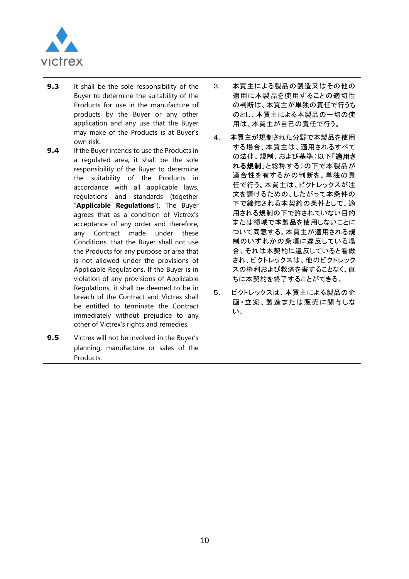

- **9.3** It shall be the sole responsibility of the Buyer to determine the suitability of the Products for use in the manufacture of products by the Buyer or any other application and any use that the Buyer may make of the Products is at Buyer's own risk.
- **9.4** If the Buyer intends to use the Products in a regulated area, it shall be the sole responsibility of the Buyer to determine the suitability of the Products in accordance with all applicable laws, regulations and standards (together "**Applicable Regulations**"). The Buyer agrees that as a condition of Victrex's acceptance of any order and therefore, any Contract made under these Conditions, that the Buyer shall not use the Products for any purpose or area that is not allowed under the provisions of Applicable Regulations. If the Buyer is in violation of any provisions of Applicable Regulations, it shall be deemed to be in breach of the Contract and Victrex shall be entitled to terminate the Contract immediately without prejudice to any other of Victrex's rights and remedies.
- **9.5** Victrex will not be involved in the Buyer's planning, manufacture or sales of the Products.
- 3. 本買主による製品の製造又はその他の 適用に本製品を使用することの適切性 の判断は、本買主が単独の責任で行うも のとし、本買主による本製品の一切の使 用は、本買主が自己の責任で行う。
- 4. 本買主が規制された分野で本製品を使用 する場合、本買主は、適用されるすべて の法律、規制、および基準(以下「適用さ れる規制」と総称する)の下で本製品が 適合性を有するかの判断を、単独の責 任で行う。本買主は、ビクトレックスが注 文を請けるための、したがって本条件の 下で締結される本契約の条件として、適 用される規制の下で許されていない目的 または領域で本製品を使用しないことに ついて同意する。本買主が適用される規 制のいずれかの条項に違反している場 合、それは本契約に違反していると看做 され、ビクトレックスは、他のビクトレック スの権利および救済を害することなく、直 ちに本契約を終了することができる。
- 5. ビクトレックスは、本買主による製品の企 画・立案、製造または販売に関与しな い。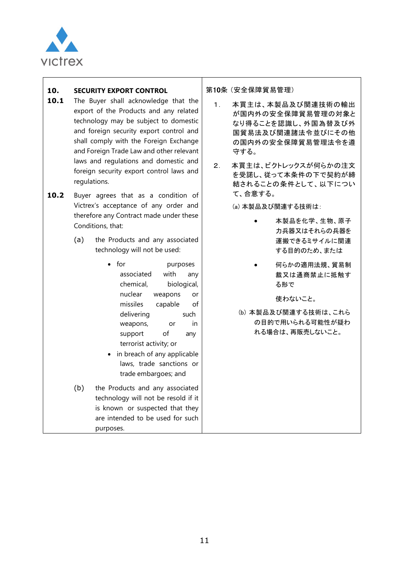

## **10. SECURITY EXPORT CONTROL**

- 10.1 The Buyer shall acknowledge that the export of the Products and any related technology may be subject to domestic and foreign security export control and shall comply with the Foreign Exchange and Foreign Trade Law and other relevant laws and regulations and domestic and foreign security export control laws and regulations.
- 10.2 Buyer agrees that as a condition of Victrex's acceptance of any order and therefore any Contract made under these Conditions, that:
	- (a) the Products and any associated technology will not be used:
		- for purposes associated with any chemical, biological, nuclear weapons or missiles capable of delivering such weapons, or in support of any terrorist activity; or
		- in breach of any applicable laws, trade sanctions or trade embargoes; and
	- (b) the Products and any associated technology will not be resold if it is known or suspected that they are intended to be used for such purposes.

第10条 (安全保障貿易管理)

- 1. 本買主は、本製品及び関連技術の輸出 が国内外の安全保障貿易管理の対象と なり得ることを認識し、外国為替及び外 国貿易法及び関連諸法令並びにその他 の国内外の安全保障貿易管理法令を遵 守する。
- 2. 本買主は、ビクトレックスが何らかの注文 を受諾し、従って本条件の下で契約が締 結されることの条件として、以下につい て、合意する。

(a) 本製品及び関連する技術は:

- 本製品を化学、生物、原子 力兵器又はそれらの兵器を 運搬できるミサイルに関連 する目的のため、または
- 何らかの適用法規、貿易制 裁又は通商禁止に抵触す る形で

使わないこと。

(b) 本製品及び関連する技術は、これら の目的で用いられる可能性が疑わ れる場合は、再販売しないこと。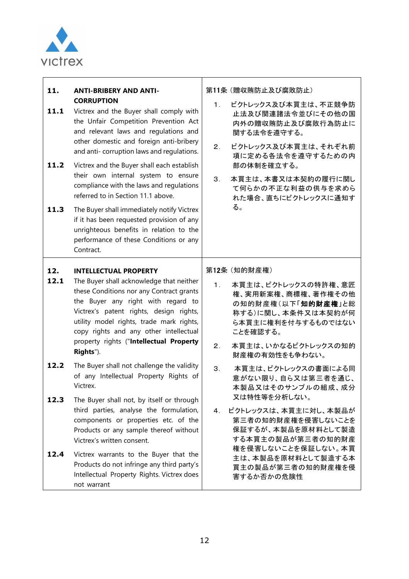

| 11. | <b>ANTI-BRIBERY AND ANTI-</b> |
|-----|-------------------------------|
|     | <b>CORRUPTION</b>             |

- 11.1 Victrex and the Buyer shall comply with the Unfair Competition Prevention Act and relevant laws and regulations and other domestic and foreign anti-bribery and anti- corruption laws and regulations.
- 11.2 Victrex and the Buyer shall each establish their own internal system to ensure compliance with the laws and regulations referred to in Section 11.1 above.
- 11.3 The Buyer shall immediately notify Victrex if it has been requested provision of any unrighteous benefits in relation to the performance of these Conditions or any Contract.

#### **12. INTELLECTUAL PROPERTY**

- 12.1 The Buyer shall acknowledge that neither these Conditions nor any Contract grants the Buyer any right with regard to Victrex's patent rights, design rights, utility model rights, trade mark rights, copy rights and any other intellectual property rights ("**Intellectual Property Rights**").
- **12.2** The Buyer shall not challenge the validity of any Intellectual Property Rights of Victrex.
- 12.3 The Buyer shall not, by itself or through third parties, analyse the formulation, components or properties etc. of the Products or any sample thereof without Victrex's written consent.
- 12.4 Victrex warrants to the Buyer that the Products do not infringe any third party's Intellectual Property Rights. Victrex does not warrant

第11条 (贈収賄防止及び腐敗防止)

- 1. ビクトレックス及び本買主は、不正競争防 止法及び関連諸法令並びにその他の国 内外の贈収賄防止及び腐敗行為防止に 関する法令を遵守する。
- 2. ビクトレックス及び本買主は、それぞれ前 項に定める各法令を遵守するための内 部の体制を確立する。
- 3. 本買主は、本書又は本契約の履行に関し て何らかの不正な利益の供与を求めら れた場合、直ちにビクトレックスに通知す る。

第12条 (知的財産権)

- 1. 本買主は、ビクトレックスの特許権、意匠 権、実用新案権、商標権、著作権その他 の知的財産権(以下「知的財産権」と総 称する)に関し、本条件又は本契約が何 ら本買主に権利を付与するものではない ことを確認する。
- 2. 本買主は、いかなるビクトレックスの知的 財産権の有効性をも争わない。
- 3. 本買主は、ビクトレックスの書面による同 意がない限り、自ら又は第三者を通じ、 本製品又はそのサンプルの組成、成分 又は特性等を分析しない。
- 4. ビクトレックスは、本買主に対し、本製品が 第三者の知的財産権を侵害しないことを 保証するが、本製品を原材料として製造 する本買主の製品が第三者の知的財産 権を侵害しないことを保証しない。本買 主は、本製品を原材料として製造する本 買主の製品が第三者の知的財産権を侵 害するか否かの危険性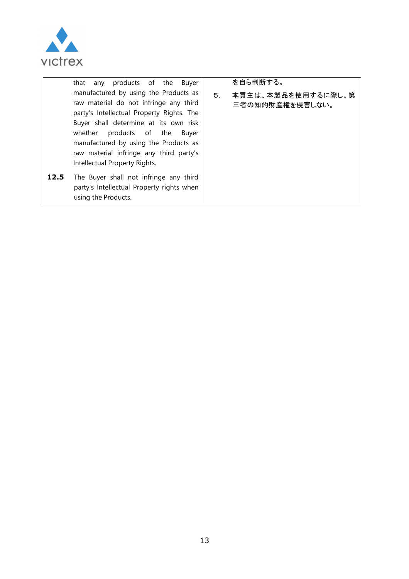

|      | that any products of the Buyer                                                                                                                                                                                                                                                                                                    |                | を自ら判断する。                              |
|------|-----------------------------------------------------------------------------------------------------------------------------------------------------------------------------------------------------------------------------------------------------------------------------------------------------------------------------------|----------------|---------------------------------------|
|      | manufactured by using the Products as<br>raw material do not infringe any third<br>party's Intellectual Property Rights. The<br>Buyer shall determine at its own risk<br>whether<br>products of the<br>Buyer<br>manufactured by using the Products as<br>raw material infringe any third party's<br>Intellectual Property Rights. | 5 <sub>1</sub> | 本買主は、本製品を使用するに際し、第<br>三者の知的財産権を侵害しない。 |
| 12.5 | The Buyer shall not infringe any third<br>party's Intellectual Property rights when<br>using the Products.                                                                                                                                                                                                                        |                |                                       |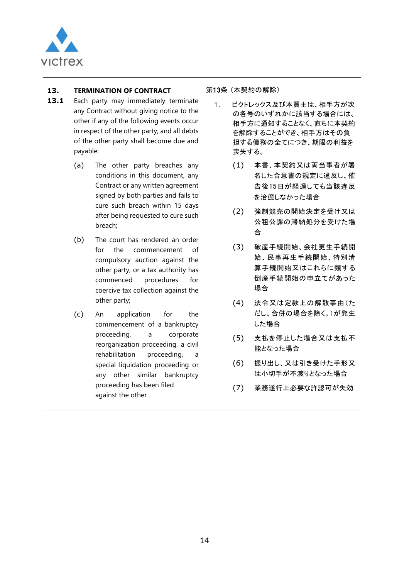

## **13. TERMINATION OF CONTRACT**

- 13.1 Each party may immediately terminate any Contract without giving notice to the other if any of the following events occur in respect of the other party, and all debts of the other party shall become due and payable:
	- (a) The other party breaches any conditions in this document, any Contract or any written agreement signed by both parties and fails to cure such breach within 15 days after being requested to cure such breach;
	- (b) The court has rendered an order for the commencement of compulsory auction against the other party, or a tax authority has commenced procedures for coercive tax collection against the other party;
	- (c) An application for the commencement of a bankruptcy proceeding, a corporate reorganization proceeding, a civil rehabilitation proceeding, special liquidation proceeding or any other similar bankruptcy proceeding has been filed against the other

第13条 (本契約の解除)

- 1. ビクトレックス及び本買主は、相手方が次 の各号のいずれかに該当する場合には、 相手方に通知することなく、直ちに本契約 を解除することができ、相手方はその負 担する債務の全てにつき、期限の利益を 喪失する。
	- (1) 本書、本契約又は両当事者が署 名した合意書の規定に違反し、催 告後15日が経過しても当該違反 を治癒しなかった場合
	- (2) 強制競売の開始決定を受け又は 公租公課の滞納処分を受けた場 合
	- (3) 破産手続開始、会社更生手続開 始、民事再生手続開始、特別清 算手続開始又はこれらに類する 倒産手続開始の申立てがあった 場合
	- (4) 法令又は定款上の解散事由(た だし、合併の場合を除く。)が発生 した場合
	- (5) 支払を停止した場合又は支払不 能となった場合
	- (6) 振り出し、又は引き受けた手形又 は小切手が不渡りとなった場合
	- (7) 業務遂行上必要な許認可が失効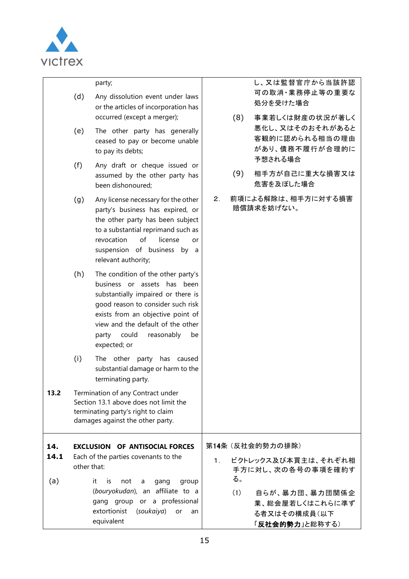

|             | (d)         | party;<br>Any dissolution event under laws<br>or the articles of incorporation has<br>occurred (except a merger);                                                                                                                                                         |                | (8)       | し、又は監督官庁から当該許認<br>可の取消・業務停止等の重要な<br>処分を受けた場合<br>事業若しくは財産の状況が著しく     |
|-------------|-------------|---------------------------------------------------------------------------------------------------------------------------------------------------------------------------------------------------------------------------------------------------------------------------|----------------|-----------|---------------------------------------------------------------------|
|             | (e)         | The other party has generally<br>ceased to pay or become unable<br>to pay its debts;                                                                                                                                                                                      |                |           | 悪化し、又はそのおそれがあると<br>客観的に認められる相当の理由<br>があり、債務不履行が合理的に<br>予想される場合      |
|             | (f)         | Any draft or cheque issued or<br>assumed by the other party has<br>been dishonoured;                                                                                                                                                                                      |                | (9)       | 相手方が自己に重大な損害又は<br>危害を及ぼした場合                                         |
|             | (g)         | Any license necessary for the other<br>party's business has expired, or<br>the other party has been subject<br>to a substantial reprimand such as<br>of<br>revocation<br>license<br>or<br>suspension of business by a<br>relevant authority;                              | 2.             |           | 前項による解除は、相手方に対する損害<br>賠償請求を妨げない。                                    |
|             | (h)         | The condition of the other party's<br>business or assets has been<br>substantially impaired or there is<br>good reason to consider such risk<br>exists from an objective point of<br>view and the default of the other<br>party could<br>reasonably<br>be<br>expected; or |                |           |                                                                     |
|             | (i)         | The other party has caused<br>substantial damage or harm to the<br>terminating party.                                                                                                                                                                                     |                |           |                                                                     |
| 13.2        |             | Termination of any Contract under<br>Section 13.1 above does not limit the<br>terminating party's right to claim<br>damages against the other party.                                                                                                                      |                |           |                                                                     |
| 14.<br>14.1 | other that: | <b>EXCLUSION OF ANTISOCIAL FORCES</b><br>Each of the parties covenants to the                                                                                                                                                                                             | 1 <sub>1</sub> |           | 第14条 (反社会的勢力の排除)<br>ビクトレックス及び本買主は、それぞれ相<br>手方に対し、次の各号の事項を確約す        |
| (a)         |             | it<br><b>is</b><br>not<br>gang<br>group<br>a<br>(bouryokudan), an affiliate to a<br>gang group or a professional<br>extortionist<br>(soukaiya)<br>or<br>an<br>equivalent                                                                                                  |                | る。<br>(1) | 自らが、暴力団、暴力団関係企<br>業、総会屋若しくはこれらに準ず<br>る者又はその構成員(以下<br>「反社会的勢力」と総称する) |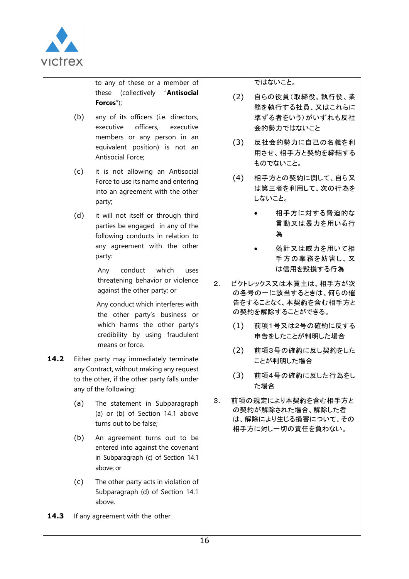

to any of these or a member of these (collectively "**Antisocial Forces**");

- (b) any of its officers (i.e. directors, executive officers, executive members or any person in an equivalent position) is not an Antisocial Force;
- (c) it is not allowing an Antisocial Force to use its name and entering into an agreement with the other party;
- (d) it will not itself or through third parties be engaged in any of the following conducts in relation to any agreement with the other party:

Any conduct which uses threatening behavior or violence against the other party; or

 Any conduct which interferes with the other party's business or which harms the other party's credibility by using fraudulent means or force.

- 14.2 Either party may immediately terminate any Contract, without making any request to the other, if the other party falls under any of the following:
	- (a) The statement in Subparagraph (a) or (b) of Section 14.1 above turns out to be false;
	- (b) An agreement turns out to be entered into against the covenant in Subparagraph (c) of Section 14.1 above; or
	- (c) The other party acts in violation of Subparagraph (d) of Section 14.1 above.
- 14.3 If any agreement with the other

ではないこと。

- (2) 自らの役員(取締役、執行役、業 務を執行する社員、又はこれらに 準ずる者をいう)がいずれも反社 会的勢力ではないこと
- (3) 反社会的勢力に自己の名義を利 用させ、相手方と契約を締結する ものでないこと。
- (4) 相手方との契約に関して、自ら又 は第三者を利用して、次の行為を しないこと。
	- 相手方に対する脅迫的な 言動又は暴力を用いる行 為
	- **偽計又は威力を用いて相** 手方の業務を妨害し、又 は信用を毀損する行為
- 2. ビクトレックス又は本買主は、相手方が次 の各号の一に該当するときは、何らの催 告をすることなく、本契約を含む相手方と の契約を解除することができる。
	- (1) 前項1号又は2号の確約に反する 申告をしたことが判明した場合
	- (2) 前項3号の確約に反し契約をした ことが判明した場合
	- (3) 前項4号の確約に反した行為をし た場合
- 3. 前項の規定により本契約を含む相手方と の契約が解除された場合、解除した者 は、解除により生じる損害について、その 相手方に対し一切の責任を負わない。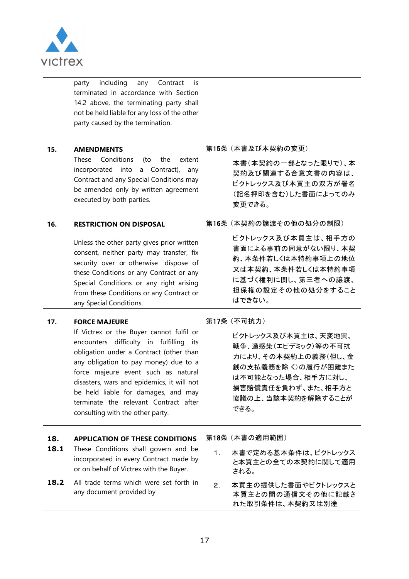

|             | including<br>Contract<br>party<br>any<br>İS<br>terminated in accordance with Section<br>14.2 above, the terminating party shall<br>not be held liable for any loss of the other<br>party caused by the termination.                                                                                                                                                                                      |                                                                                                                                                                                  |
|-------------|----------------------------------------------------------------------------------------------------------------------------------------------------------------------------------------------------------------------------------------------------------------------------------------------------------------------------------------------------------------------------------------------------------|----------------------------------------------------------------------------------------------------------------------------------------------------------------------------------|
| 15.         | <b>AMENDMENTS</b><br>Conditions<br>These<br>the<br>(to<br>extent<br>incorporated into<br>a Contract),<br>any<br>Contract and any Special Conditions may<br>be amended only by written agreement<br>executed by both parties.                                                                                                                                                                             | 第15条 (本書及び本契約の変更)<br>本書(本契約の一部となった限りで)、本<br>契約及び関連する合意文書の内容は、<br>ビクトレックス及び本買主の双方が署名<br>(記名押印を含む)した書面によってのみ<br>変更できる。                                                             |
| 16.         | <b>RESTRICTION ON DISPOSAL</b><br>Unless the other party gives prior written<br>consent, neither party may transfer, fix<br>security over or otherwise dispose of<br>these Conditions or any Contract or any<br>Special Conditions or any right arising<br>from these Conditions or any Contract or<br>any Special Conditions.                                                                           | 第16条 (本契約の譲渡その他の処分の制限)<br>ビクトレックス及び本買主は、相手方の<br>書面による事前の同意がない限り、本契<br>約、本条件若しくは本特約事項上の地位<br>又は本契約、本条件若しくは本特約事項<br>に基づく権利に関し、第三者への譲渡、<br>担保権の設定その他の処分をすること<br>はできない。              |
| 17.         | <b>FORCE MAJEURE</b><br>If Victrex or the Buyer cannot fulfil or<br>encounters difficulty in fulfilling its<br>obligation under a Contract (other than<br>any obligation to pay money) due to a<br>force majeure event such as natural<br>disasters, wars and epidemics, it will not<br>be held liable for damages, and may<br>terminate the relevant Contract after<br>consulting with the other party. | 第17条 (不可抗力)<br>ビクトレックス及び本買主は、天変地異、<br>戦争、過感染(エピデミック)等の不可抗<br>力により、その本契約上の義務(但し、金<br>銭の支払義務を除く)の履行が困難また<br>は不可能となった場合、相手方に対し、<br>損害賠償責任を負わず、また、相手方と<br>協議の上、当該本契約を解除することが<br>できる。 |
| 18.<br>18.1 | <b>APPLICATION OF THESE CONDITIONS</b><br>These Conditions shall govern and be<br>incorporated in every Contract made by<br>or on behalf of Victrex with the Buyer.                                                                                                                                                                                                                                      | 第18条 (本書の適用範囲)<br>本書で定める基本条件は、ビクトレックス<br>$\mathbf{1}$ .<br>と本買主との全ての本契約に関して適用<br>される。                                                                                            |
| 18.2        | All trade terms which were set forth in<br>any document provided by                                                                                                                                                                                                                                                                                                                                      | 本買主の提供した書面やビクトレックスと<br>2 <sub>1</sub><br>本買主との間の通信文その他に記載さ<br>れた取引条件は、本契約又は別途                                                                                                    |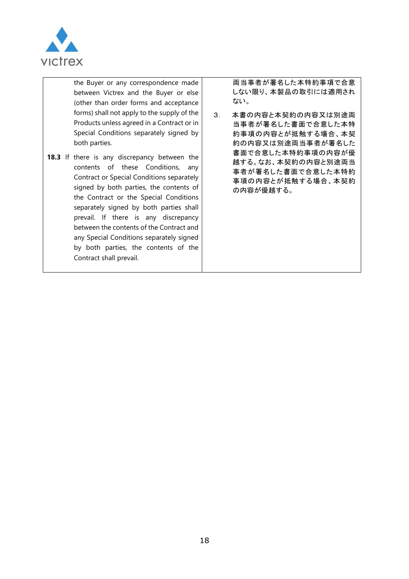

the Buyer or any correspondence made between Victrex and the Buyer or else (other than order forms and acceptance forms) shall not apply to the supply of the Products unless agreed in a Contract or in Special Conditions separately signed by both parties.

18.3 If there is any discrepancy between the contents of these Conditions, any Contract or Special Conditions separately signed by both parties, the contents of the Contract or the Special Conditions separately signed by both parties shall prevail. If there is any discrepancy between the contents of the Contract and any Special Conditions separately signed by both parties, the contents of the Contract shall prevail.

両当事者が署名した本特約事項で合意 しない限り、本製品の取引には適用され ない。

3. 本書の内容と本契約の内容又は別途両 当事者が署名した書面で合意した本特 約事項の内容とが抵触する場合、本契 約の内容又は別途両当事者が署名した 書面で合意した本特約事項の内容が優 越する。なお、本契約の内容と別途両当 事者が署名した書面で合意した本特約 事項の内容とが抵触する場合、本契約 の内容が優越する。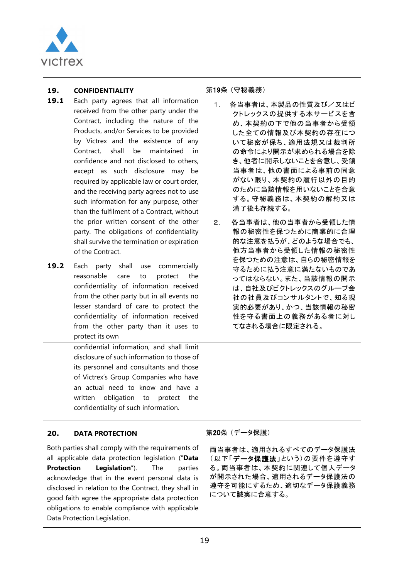

#### **19. CONFIDENTIALITY**

- 19.1 Each party agrees that all information received from the other party under the Contract, including the nature of the Products, and/or Services to be provided by Victrex and the existence of any Contract, shall be maintained in confidence and not disclosed to others, except as such disclosure may be required by applicable law or court order, and the receiving party agrees not to use such information for any purpose, other than the fulfilment of a Contract, without the prior written consent of the other party. The obligations of confidentiality shall survive the termination or expiration of the Contract.
- 19.2 Each party shall use commercially reasonable care to protect the confidentiality of information received from the other party but in all events no lesser standard of care to protect the confidentiality of information received from the other party than it uses to protect its own

confidential information, and shall limit disclosure of such information to those of its personnel and consultants and those of Victrex's Group Companies who have an actual need to know and have a written obligation to protect the confidentiality of such information.

#### **20. DATA PROTECTION**

Both parties shall comply with the requirements of all applicable data protection legislation ("**Data Protection Legislation**"). The parties acknowledge that in the event personal data is disclosed in relation to the Contract, they shall in good faith agree the appropriate data protection obligations to enable compliance with applicable Data Protection Legislation.

第19条 (守秘義務)

- 1. 各当事者は、本製品の性質及び/又はビ クトレックスの提供する本サービスを含 め、本契約の下で他の当事者から受領 した全ての情報及び本契約の存在につ いて秘密が保ち、適用法規又は裁判所 の命令により開示が求められる場合を除 き、他者に開示しないことを合意し、受領 当事者は、他の書面による事前の同意 がない限り、本契約の履行以外の目的 のために当該情報を用いないことを合意 する。守秘義務は、本契約の解約又は 満了後も存続する。
- 2. 各当事者は、他の当事者から受領した情 報の秘密性を保つために商業的に合理 的な注意を払うが、どのような場合でも、 他方当事者から受領した情報の秘密性 を保つための注意は、自らの秘密情報を 守るために払う注意に満たないものであ ってはならない。また、当該情報の開示 は、自社及びビクトレックスのグループ会 社の社員及びコンサルタントで、知る現 実的必要があり、かつ、当該情報の秘密 性を守る書面上の義務がある者に対し てなされる場合に限定される。

第20条 (データ保護)

両当事者は、適用されるすべてのデータ保護法 (以下「データ保護法」という)の要件を遵守す る。両当事者は、本契約に関連して個人データ が開示された場合、適用されるデータ保護法の 遵守を可能にするため、適切なデータ保護義務 について誠実に合意する。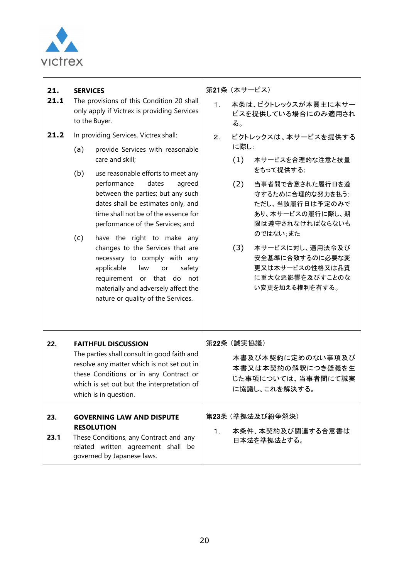

| 21.<br>21.1 | <b>SERVICES</b>   | The provisions of this Condition 20 shall<br>only apply if Victrex is providing Services<br>to the Buyer.                                                                                                                                                                                                                                                                                                                                                                                                                                                                     | 第21条 (本サービス)<br>1 <sub>1</sub> | る。 | 本条は、ビクトレックスが本買主に本サー<br>ビスを提供している場合にのみ適用され                                                                       |                                                                                                                                                                          |
|-------------|-------------------|-------------------------------------------------------------------------------------------------------------------------------------------------------------------------------------------------------------------------------------------------------------------------------------------------------------------------------------------------------------------------------------------------------------------------------------------------------------------------------------------------------------------------------------------------------------------------------|--------------------------------|----|-----------------------------------------------------------------------------------------------------------------|--------------------------------------------------------------------------------------------------------------------------------------------------------------------------|
| 21.2        | (a)<br>(b)<br>(c) | In providing Services, Victrex shall:<br>provide Services with reasonable<br>care and skill;<br>use reasonable efforts to meet any<br>performance<br>dates<br>agreed<br>between the parties; but any such<br>dates shall be estimates only, and<br>time shall not be of the essence for<br>performance of the Services; and<br>have the right to make any<br>changes to the Services that are<br>necessary to comply with any<br>applicable<br>law<br>safety<br>or<br>requirement or that do not<br>materially and adversely affect the<br>nature or quality of the Services. | 2 <sub>1</sub>                 |    | ビクトレックスは、本サービスを提供する<br>に際し:<br>(1)<br>をもって提供する;<br>(2)<br>守するために合理的な努力を払う;<br>のではない;また<br>(3)<br>い変更を加える権利を有する。 | 本サービスを合理的な注意と技量<br>当事者間で合意された履行日を遵<br>ただし、当該履行日は予定のみで<br>あり、本サービスの履行に際し、期<br>限は遵守されなければならないも<br>本サービスに対し、適用法令及び<br>安全基準に合致するのに必要な変<br>更又は本サービスの性格又は品質<br>に重大な悪影響を及びすことのな |
| 22.         |                   | <b>FAITHFUL DISCUSSION</b><br>The parties shall consult in good faith and<br>resolve any matter which is not set out in<br>these Conditions or in any Contract or<br>which is set out but the interpretation of<br>which is in question.                                                                                                                                                                                                                                                                                                                                      | 第22条 (誠実協議)                    |    | 本書及び本契約に定めのない事項及び<br>本書又は本契約の解釈につき疑義を生<br>じた事項については、当事者間にて誠実<br>に協議し、これを解決する。                                   |                                                                                                                                                                          |
| 23.<br>23.1 |                   | <b>GOVERNING LAW AND DISPUTE</b><br><b>RESOLUTION</b><br>These Conditions, any Contract and any<br>related written agreement shall be<br>governed by Japanese laws.                                                                                                                                                                                                                                                                                                                                                                                                           | $\mathbf 1$ .                  |    | 第23条 (準拠法及び紛争解決)<br>本条件、本契約及び関連する合意書は<br>日本法を準拠法とする。                                                            |                                                                                                                                                                          |